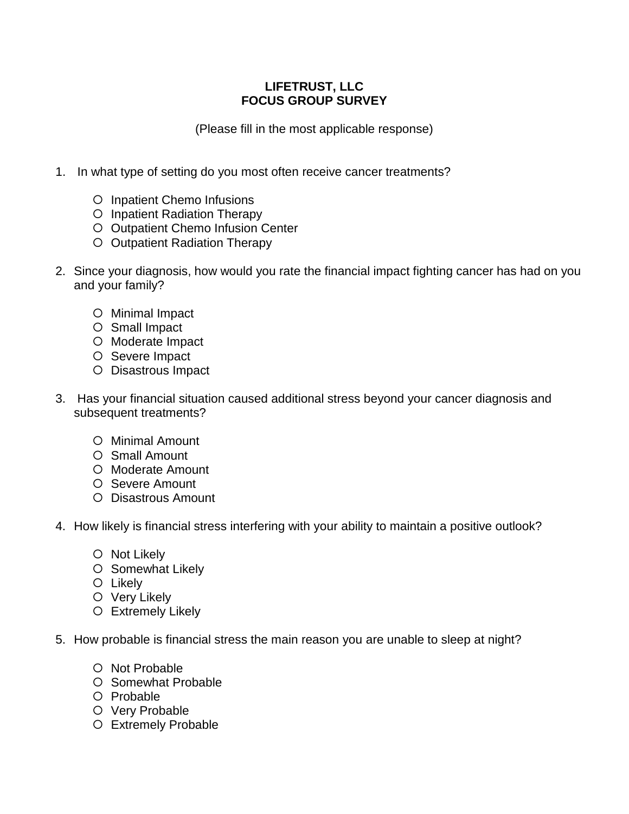## **LIFETRUST, LLC FOCUS GROUP SURVEY**

(Please fill in the most applicable response)

- 1. In what type of setting do you most often receive cancer treatments?
	- O Inpatient Chemo Infusions
	- O Inpatient Radiation Therapy
	- O Outpatient Chemo Infusion Center
	- O Outpatient Radiation Therapy
- 2. Since your diagnosis, how would you rate the financial impact fighting cancer has had on you and your family?
	- O Minimal Impact
	- O Small Impact
	- O Moderate Impact
	- O Severe Impact
	- O Disastrous Impact
- 3. Has your financial situation caused additional stress beyond your cancer diagnosis and subsequent treatments?
	- O Minimal Amount
	- O Small Amount
	- O Moderate Amount
	- O Severe Amount
	- O Disastrous Amount
- 4. How likely is financial stress interfering with your ability to maintain a positive outlook?
	- O Not Likely
	- O Somewhat Likely
	- O Likely
	- O Very Likely
	- Extremely Likely
- 5. How probable is financial stress the main reason you are unable to sleep at night?
	- O Not Probable
	- O Somewhat Probable
	- O Probable
	- O Very Probable
	- O Extremely Probable